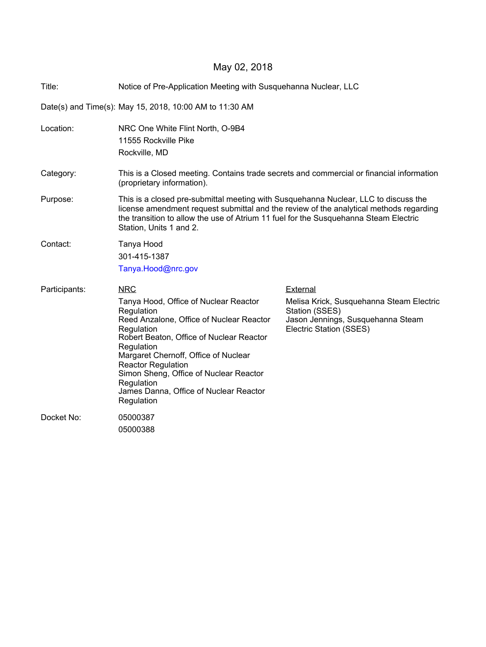## May 02, 2018

| Title:                                                  | Notice of Pre-Application Meeting with Susquehanna Nuclear, LLC                                                                                                                                                                                                                                                                                                            |                                                                                                                                        |  |  |  |  |
|---------------------------------------------------------|----------------------------------------------------------------------------------------------------------------------------------------------------------------------------------------------------------------------------------------------------------------------------------------------------------------------------------------------------------------------------|----------------------------------------------------------------------------------------------------------------------------------------|--|--|--|--|
| Date(s) and Time(s): May 15, 2018, 10:00 AM to 11:30 AM |                                                                                                                                                                                                                                                                                                                                                                            |                                                                                                                                        |  |  |  |  |
| Location:                                               | NRC One White Flint North, O-9B4<br>11555 Rockville Pike<br>Rockville, MD                                                                                                                                                                                                                                                                                                  |                                                                                                                                        |  |  |  |  |
| Category:                                               | This is a Closed meeting. Contains trade secrets and commercial or financial information<br>(proprietary information).                                                                                                                                                                                                                                                     |                                                                                                                                        |  |  |  |  |
| Purpose:                                                | This is a closed pre-submittal meeting with Susquehanna Nuclear, LLC to discuss the<br>license amendment request submittal and the review of the analytical methods regarding<br>the transition to allow the use of Atrium 11 fuel for the Susquehanna Steam Electric<br>Station, Units 1 and 2.                                                                           |                                                                                                                                        |  |  |  |  |
| Contact:                                                | Tanya Hood<br>301-415-1387<br>Tanya.Hood@nrc.gov                                                                                                                                                                                                                                                                                                                           |                                                                                                                                        |  |  |  |  |
| Participants:                                           | <b>NRC</b><br>Tanya Hood, Office of Nuclear Reactor<br>Regulation<br>Reed Anzalone, Office of Nuclear Reactor<br>Regulation<br>Robert Beaton, Office of Nuclear Reactor<br>Regulation<br>Margaret Chernoff, Office of Nuclear<br><b>Reactor Regulation</b><br>Simon Sheng, Office of Nuclear Reactor<br>Regulation<br>James Danna, Office of Nuclear Reactor<br>Regulation | External<br>Melisa Krick, Susquehanna Steam Electric<br>Station (SSES)<br>Jason Jennings, Susquehanna Steam<br>Electric Station (SSES) |  |  |  |  |
| Docket No:                                              | 05000387<br>05000388                                                                                                                                                                                                                                                                                                                                                       |                                                                                                                                        |  |  |  |  |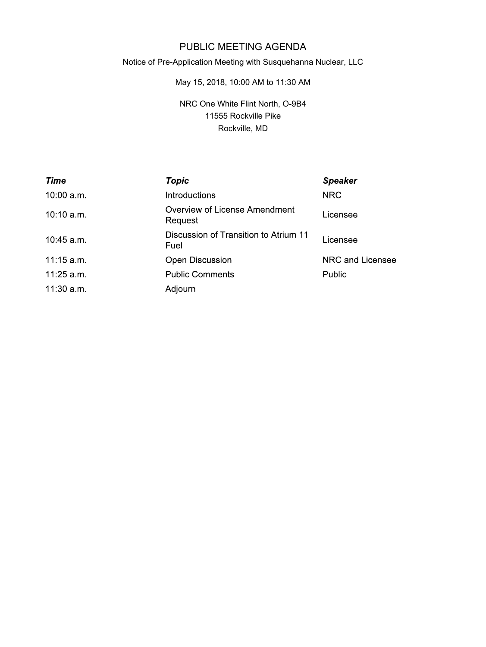## PUBLIC MEETING AGENDA

## Notice of Pre-Application Meeting with Susquehanna Nuclear, LLC

May 15, 2018, 10:00 AM to 11:30 AM

NRC One White Flint North, O-9B4 11555 Rockville Pike Rockville, MD

| Time         | <b>Topic</b>                                    | <b>Speaker</b>   |
|--------------|-------------------------------------------------|------------------|
| 10:00 a.m.   | <b>Introductions</b>                            | <b>NRC</b>       |
| 10:10 a.m.   | <b>Overview of License Amendment</b><br>Request | Licensee         |
| 10:45 a.m.   | Discussion of Transition to Atrium 11<br>Fuel   | Licensee         |
| 11:15 a.m.   | Open Discussion                                 | NRC and Licensee |
| 11:25 a.m.   | <b>Public Comments</b>                          | Public           |
| $11:30$ a.m. | Adjourn                                         |                  |